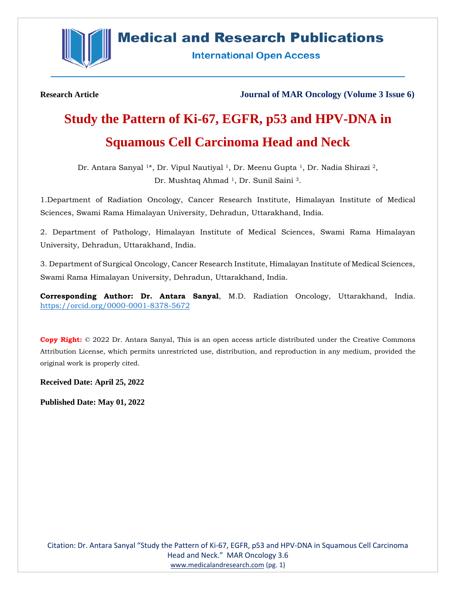

## **Medical and Research Publications**

**International Open Access** 

**Research Article Journal of MAR Oncology (Volume 3 Issue 6)**

# **Study the Pattern of Ki-67, EGFR, p53 and HPV-DNA in Squamous Cell Carcinoma Head and Neck**

Dr. Antara Sanyal 1\*, Dr. Vipul Nautiyal 1, Dr. Meenu Gupta 1, Dr. Nadia Shirazi 2, Dr. Mushtaq Ahmad 1, Dr. Sunil Saini 3.

1.Department of Radiation Oncology, Cancer Research Institute, Himalayan Institute of Medical Sciences, Swami Rama Himalayan University, Dehradun, Uttarakhand, India.

2. Department of Pathology, Himalayan Institute of Medical Sciences, Swami Rama Himalayan University, Dehradun, Uttarakhand, India.

3. Department of Surgical Oncology, Cancer Research Institute, Himalayan Institute of Medical Sciences, Swami Rama Himalayan University, Dehradun, Uttarakhand, India.

**Corresponding Author: Dr. Antara Sanyal**, M.D. Radiation Oncology, Uttarakhand, India. <https://orcid.org/0000-0001-8378-5672>

**Copy Right:** © 2022 Dr. Antara Sanyal, This is an open access article distributed under the Creative Commons Attribution License, which permits unrestricted use, distribution, and reproduction in any medium, provided the original work is properly cited.

**Received Date: April 25, 2022**

**Published Date: May 01, 2022**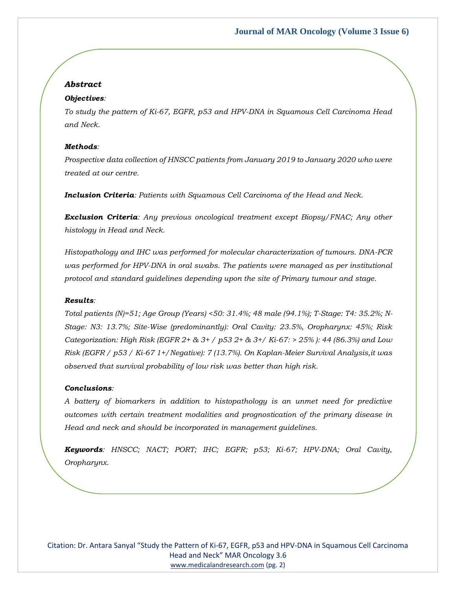### *Abstract*

### *Objectives:*

*To study the pattern of Ki-67, EGFR, p53 and HPV-DNA in Squamous Cell Carcinoma Head and Neck.* 

### *Methods:*

*Prospective data collection of HNSCC patients from January 2019 to January 2020 who were treated at our centre.* 

*Inclusion Criteria: Patients with Squamous Cell Carcinoma of the Head and Neck.* 

*Exclusion Criteria: Any previous oncological treatment except Biopsy/FNAC; Any other histology in Head and Neck.* 

*Histopathology and IHC was performed for molecular characterization of tumours. DNA-PCR was performed for HPV-DNA in oral swabs. The patients were managed as per institutional protocol and standard guidelines depending upon the site of Primary tumour and stage.*

### *Results:*

*Total patients (N)=51; Age Group (Years) <50: 31.4%; 48 male (94.1%); T-Stage: T4: 35.2%; N-Stage: N3: 13.7%; Site-Wise (predominantly): Oral Cavity: 23.5%, Oropharynx: 45%; Risk Categorization: High Risk (EGFR 2+ & 3+ / p53 2+ & 3+/ Ki-67: > 25% ): 44 (86.3%) and Low Risk (EGFR / p53 / Ki-67 1+/Negative): 7 (13.7%). On Kaplan-Meier Survival Analysis,it was observed that survival probability of low risk was better than high risk.*

### *Conclusions:*

*A battery of biomarkers in addition to histopathology is an unmet need for predictive outcomes with certain treatment modalities and prognostication of the primary disease in Head and neck and should be incorporated in management guidelines.*

*Keywords: HNSCC; NACT; PORT; IHC; EGFR; p53; Ki-67; HPV-DNA; Oral Cavity, Oropharynx.*

Citation: Dr. Antara Sanyal "Study the Pattern of Ki-67, EGFR, p53 and HPV-DNA in Squamous Cell Carcinoma Head and Neck" MAR Oncology 3.6 [www.medicalandresearch.com](http://www.medicalandresearch.com/) (pg. 2)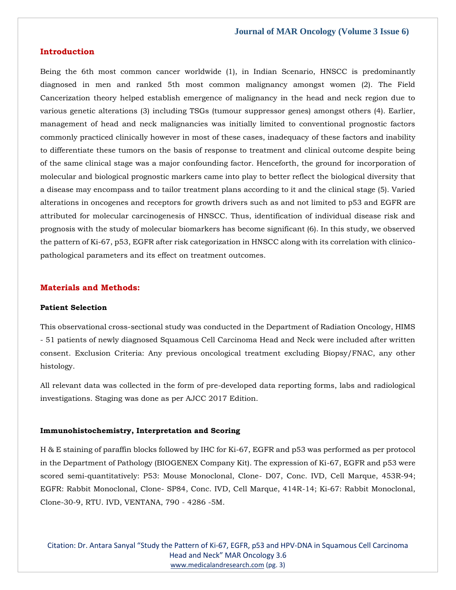### **Introduction**

Being the 6th most common cancer worldwide (1), in Indian Scenario, HNSCC is predominantly diagnosed in men and ranked 5th most common malignancy amongst women (2). The Field Cancerization theory helped establish emergence of malignancy in the head and neck region due to various genetic alterations (3) including TSGs (tumour suppressor genes) amongst others (4). Earlier, management of head and neck malignancies was initially limited to conventional prognostic factors commonly practiced clinically however in most of these cases, inadequacy of these factors and inability to differentiate these tumors on the basis of response to treatment and clinical outcome despite being of the same clinical stage was a major confounding factor. Henceforth, the ground for incorporation of molecular and biological prognostic markers came into play to better reflect the biological diversity that a disease may encompass and to tailor treatment plans according to it and the clinical stage (5). Varied alterations in oncogenes and receptors for growth drivers such as and not limited to p53 and EGFR are attributed for molecular carcinogenesis of HNSCC. Thus, identification of individual disease risk and prognosis with the study of molecular biomarkers has become significant (6). In this study, we observed the pattern of Ki-67, p53, EGFR after risk categorization in HNSCC along with its correlation with clinicopathological parameters and its effect on treatment outcomes.

### **Materials and Methods:**

### **Patient Selection**

This observational cross-sectional study was conducted in the Department of Radiation Oncology, HIMS - 51 patients of newly diagnosed Squamous Cell Carcinoma Head and Neck were included after written consent. Exclusion Criteria: Any previous oncological treatment excluding Biopsy/FNAC, any other histology.

All relevant data was collected in the form of pre-developed data reporting forms, labs and radiological investigations. Staging was done as per AJCC 2017 Edition.

#### **Immunohistochemistry, Interpretation and Scoring**

H & E staining of paraffin blocks followed by IHC for Ki-67, EGFR and p53 was performed as per protocol in the Department of Pathology (BIOGENEX Company Kit). The expression of Ki-67, EGFR and p53 were scored semi-quantitatively: P53: Mouse Monoclonal, Clone- D07, Conc. IVD, Cell Marque, 453R-94; EGFR: Rabbit Monoclonal, Clone- SP84, Conc. IVD, Cell Marque, 414R-14; Ki-67: Rabbit Monoclonal, Clone-30-9, RTU. IVD, VENTANA, 790 - 4286 -5M.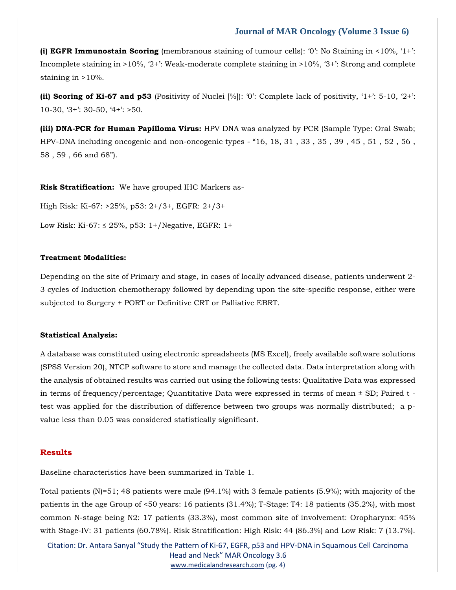**(i) EGFR Immunostain Scoring** (membranous staining of tumour cells): '0': No Staining in <10%, '1+': Incomplete staining in >10%, '2+': Weak-moderate complete staining in >10%, '3+': Strong and complete staining in >10%.

**(ii) Scoring of Ki-67 and p53** (Positivity of Nuclei [%]): '0': Complete lack of positivity, '1+': 5-10, '2+': 10-30, '3+': 30-50, '4+': >50.

**(iii) DNA-PCR for Human Papilloma Virus:** HPV DNA was analyzed by PCR (Sample Type: Oral Swab; HPV-DNA including oncogenic and non-oncogenic types - "16, 18, 31 , 33 , 35 , 39 , 45 , 51 , 52 , 56 , 58 , 59 , 66 and 68").

**Risk Stratification:** We have grouped IHC Markers as-

High Risk: Ki-67: >25%, p53: 2+/3+, EGFR: 2+/3+ Low Risk: Ki-67: ≤ 25%, p53: 1+/Negative, EGFR: 1+

### **Treatment Modalities:**

Depending on the site of Primary and stage, in cases of locally advanced disease, patients underwent 2- 3 cycles of Induction chemotherapy followed by depending upon the site-specific response, either were subjected to Surgery + PORT or Definitive CRT or Palliative EBRT.

### **Statistical Analysis:**

A database was constituted using electronic spreadsheets (MS Excel), freely available software solutions (SPSS Version 20), NTCP software to store and manage the collected data. Data interpretation along with the analysis of obtained results was carried out using the following tests: Qualitative Data was expressed in terms of frequency/percentage; Quantitative Data were expressed in terms of mean ± SD; Paired t test was applied for the distribution of difference between two groups was normally distributed; a pvalue less than 0.05 was considered statistically significant.

### **Results**

Baseline characteristics have been summarized in Table 1.

Total patients (N)=51; 48 patients were male (94.1%) with 3 female patients (5.9%); with majority of the patients in the age Group of <50 years: 16 patients (31.4%); T-Stage: T4: 18 patients (35.2%), with most common N-stage being N2: 17 patients (33.3%), most common site of involvement: Oropharynx: 45% with Stage-IV: 31 patients (60.78%). Risk Stratification: High Risk: 44 (86.3%) and Low Risk: 7 (13.7%).

Citation: Dr. Antara Sanyal "Study the Pattern of Ki-67, EGFR, p53 and HPV-DNA in Squamous Cell Carcinoma Head and Neck" MAR Oncology 3.6 [www.medicalandresearch.com](http://www.medicalandresearch.com/) (pg. 4)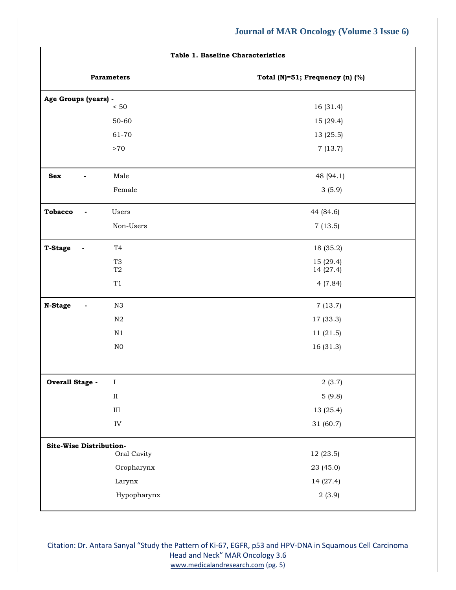| Table 1. Baseline Characteristics |                                       |                                 |
|-----------------------------------|---------------------------------------|---------------------------------|
|                                   | <b>Parameters</b>                     | Total (N)=51; Frequency (n) (%) |
| Age Groups (years) -              | $< 50\,$                              | 16 (31.4)                       |
|                                   | 50-60                                 | 15 (29.4)                       |
|                                   | 61-70                                 | 13 (25.5)                       |
|                                   | ${>}70$                               | 7(13.7)                         |
| Sex                               | Male                                  | 48 (94.1)                       |
|                                   | Female                                | 3(5.9)                          |
| <b>Tobacco</b>                    | Users                                 | 44 (84.6)                       |
|                                   | Non-Users                             | 7(13.5)                         |
| <b>T-Stage</b>                    | T <sub>4</sub>                        | 18 (35.2)                       |
|                                   | T <sub>3</sub><br>$\operatorname{T2}$ | 15 (29.4)<br>14 (27.4)          |
|                                   | $\rm{T}1$                             | 4(7.84)                         |
| N-Stage                           | $_{\rm N3}$                           | 7(13.7)                         |
|                                   | ${\rm N2}$                            | 17 (33.3)                       |
|                                   | $\mathbf{N}1$                         | 11 (21.5)                       |
|                                   | ${\rm N0}$                            | 16 (31.3)                       |
| Overall Stage -                   | $\rm I$                               | 2(3.7)                          |
|                                   | $\rm II$                              | 5(9.8)                          |
|                                   | $\rm III$                             | 13 (25.4)                       |
|                                   | ${\rm IV}$                            | 31 (60.7)                       |
| Site-Wise Distribution-           |                                       |                                 |
|                                   | Oral Cavity                           | 12 (23.5)                       |
|                                   | Oropharynx                            | 23 (45.0)                       |
|                                   | Larynx                                | 14 (27.4)                       |
|                                   | Hypopharynx                           | 2(3.9)                          |

Citation: Dr. Antara Sanyal "Study the Pattern of Ki-67, EGFR, p53 and HPV-DNA in Squamous Cell Carcinoma Head and Neck" MAR Oncology 3.6 [www.medicalandresearch.com](http://www.medicalandresearch.com/) (pg. 5)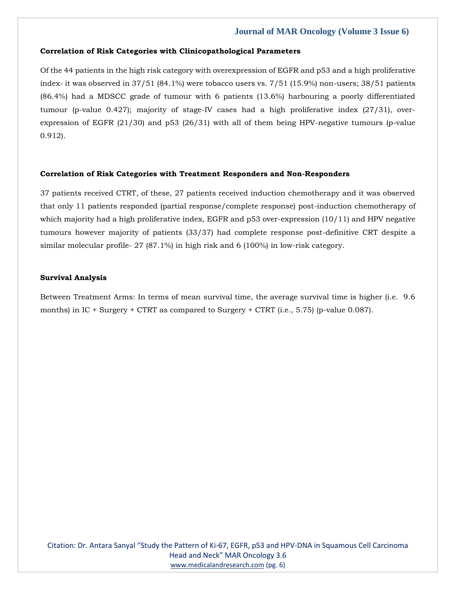### **Correlation of Risk Categories with Clinicopathological Parameters**

Of the 44 patients in the high risk category with overexpression of EGFR and p53 and a high proliferative index- it was observed in 37/51 (84.1%) were tobacco users vs. 7/51 (15.9%) non-users; 38/51 patients (86.4%) had a MDSCC grade of tumour with 6 patients (13.6%) harbouring a poorly differentiated tumour (p-value 0.427); majority of stage-IV cases had a high proliferative index (27/31), overexpression of EGFR (21/30) and p53 (26/31) with all of them being HPV-negative tumours (p-value 0.912).

### **Correlation of Risk Categories with Treatment Responders and Non-Responders**

37 patients received CTRT, of these, 27 patients received induction chemotherapy and it was observed that only 11 patients responded (partial response/complete response) post-induction chemotherapy of which majority had a high proliferative index, EGFR and p53 over-expression (10/11) and HPV negative tumours however majority of patients (33/37) had complete response post-definitive CRT despite a similar molecular profile- 27 (87.1%) in high risk and 6 (100%) in low-risk category.

### **Survival Analysis**

Between Treatment Arms: In terms of mean survival time, the average survival time is higher (i.e. 9.6 months) in IC + Surgery + CTRT as compared to Surgery + CTRT (i.e., 5.75) (p-value 0.087).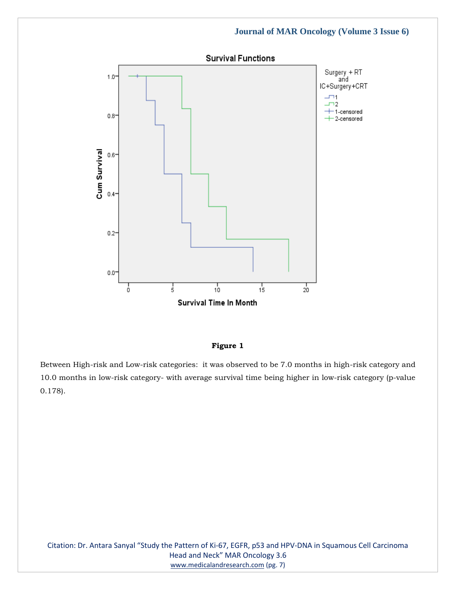

### **Figure 1**

Between High-risk and Low-risk categories: it was observed to be 7.0 months in high-risk category and 10.0 months in low-risk category- with average survival time being higher in low-risk category (p-value 0.178).

Citation: Dr. Antara Sanyal "Study the Pattern of Ki-67, EGFR, p53 and HPV-DNA in Squamous Cell Carcinoma Head and Neck" MAR Oncology 3.6 [www.medicalandresearch.com](http://www.medicalandresearch.com/) (pg. 7)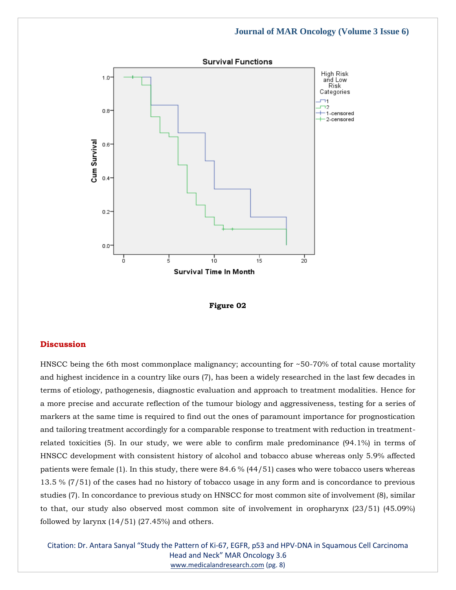



### **Discussion**

HNSCC being the 6th most commonplace malignancy; accounting for ~50-70% of total cause mortality and highest incidence in a country like ours (7), has been a widely researched in the last few decades in terms of etiology, pathogenesis, diagnostic evaluation and approach to treatment modalities. Hence for a more precise and accurate reflection of the tumour biology and aggressiveness, testing for a series of markers at the same time is required to find out the ones of paramount importance for prognostication and tailoring treatment accordingly for a comparable response to treatment with reduction in treatmentrelated toxicities (5). In our study, we were able to confirm male predominance (94.1%) in terms of HNSCC development with consistent history of alcohol and tobacco abuse whereas only 5.9% affected patients were female (1). In this study, there were 84.6 % (44/51) cases who were tobacco users whereas 13.5 % (7/51) of the cases had no history of tobacco usage in any form and is concordance to previous studies (7). In concordance to previous study on HNSCC for most common site of involvement (8), similar to that, our study also observed most common site of involvement in oropharynx (23/51) (45.09%) followed by larynx  $(14/51)$   $(27.45%)$  and others.

Citation: Dr. Antara Sanyal "Study the Pattern of Ki-67, EGFR, p53 and HPV-DNA in Squamous Cell Carcinoma Head and Neck" MAR Oncology 3.6 [www.medicalandresearch.com](http://www.medicalandresearch.com/) (pg. 8)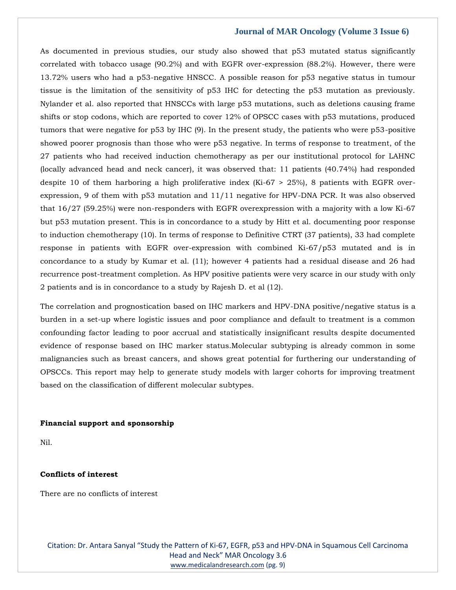As documented in previous studies, our study also showed that p53 mutated status significantly correlated with tobacco usage (90.2%) and with EGFR over-expression (88.2%). However, there were 13.72% users who had a p53-negative HNSCC. A possible reason for p53 negative status in tumour tissue is the limitation of the sensitivity of p53 IHC for detecting the p53 mutation as previously. Nylander et al. also reported that HNSCCs with large p53 mutations, such as deletions causing frame shifts or stop codons, which are reported to cover 12% of OPSCC cases with p53 mutations, produced tumors that were negative for p53 by IHC (9). In the present study, the patients who were p53-positive showed poorer prognosis than those who were p53 negative. In terms of response to treatment, of the 27 patients who had received induction chemotherapy as per our institutional protocol for LAHNC (locally advanced head and neck cancer), it was observed that: 11 patients (40.74%) had responded despite 10 of them harboring a high proliferative index (Ki-67 > 25%), 8 patients with EGFR overexpression, 9 of them with p53 mutation and 11/11 negative for HPV-DNA PCR. It was also observed that 16/27 (59.25%) were non-responders with EGFR overexpression with a majority with a low Ki-67 but p53 mutation present. This is in concordance to a study by Hitt et al. documenting poor response to induction chemotherapy (10). In terms of response to Definitive CTRT (37 patients), 33 had complete response in patients with EGFR over-expression with combined Ki-67/p53 mutated and is in concordance to a study by Kumar et al. (11); however 4 patients had a residual disease and 26 had recurrence post-treatment completion. As HPV positive patients were very scarce in our study with only 2 patients and is in concordance to a study by Rajesh D. et al (12).

The correlation and prognostication based on IHC markers and HPV-DNA positive/negative status is a burden in a set-up where logistic issues and poor compliance and default to treatment is a common confounding factor leading to poor accrual and statistically insignificant results despite documented evidence of response based on IHC marker status.Molecular subtyping is already common in some malignancies such as breast cancers, and shows great potential for furthering our understanding of OPSCCs. This report may help to generate study models with larger cohorts for improving treatment based on the classification of different molecular subtypes.

#### **Financial support and sponsorship**

Nil.

### **Conflicts of interest**

There are no conflicts of interest

Citation: Dr. Antara Sanyal "Study the Pattern of Ki-67, EGFR, p53 and HPV-DNA in Squamous Cell Carcinoma Head and Neck" MAR Oncology 3.6 [www.medicalandresearch.com](http://www.medicalandresearch.com/) (pg. 9)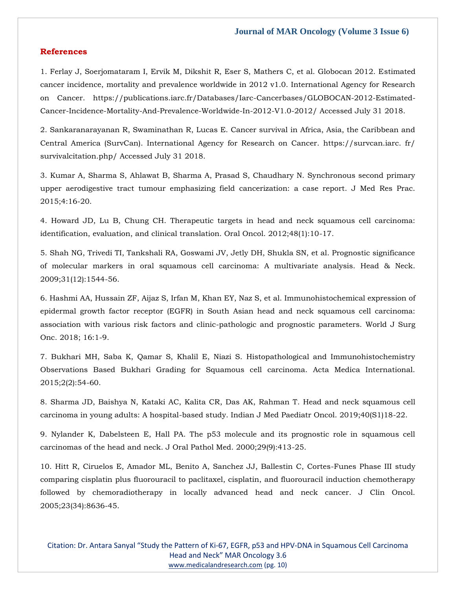### **References**

[1. Ferlay J, Soerjomataram I, Ervik M, Dikshit R, Eser S, Mathers C, et al. Globocan 2012. Estimated](https://publications.iarc.fr/Databases/Iarc-Cancerbases/GLOBOCAN-2012-Estimated-Cancer-Incidence-Mortality-And-Prevalence-Worldwide-In-2012-V1.0-2012/)  [cancer incidence, mortality and prevalence worldwide in 2012 v1.0. International Agency for Research](https://publications.iarc.fr/Databases/Iarc-Cancerbases/GLOBOCAN-2012-Estimated-Cancer-Incidence-Mortality-And-Prevalence-Worldwide-In-2012-V1.0-2012/)  [on Cancer. https://publications.iarc.fr/Databases/Iarc-Cancerbases/GLOBOCAN-2012-Estimated-](https://publications.iarc.fr/Databases/Iarc-Cancerbases/GLOBOCAN-2012-Estimated-Cancer-Incidence-Mortality-And-Prevalence-Worldwide-In-2012-V1.0-2012/)[Cancer-Incidence-Mortality-And-Prevalence-Worldwide-In-2012-V1.0-2012/ Accessed July 31 2018.](https://publications.iarc.fr/Databases/Iarc-Cancerbases/GLOBOCAN-2012-Estimated-Cancer-Incidence-Mortality-And-Prevalence-Worldwide-In-2012-V1.0-2012/)

[2. Sankaranarayanan R, Swaminathan R, Lucas E. Cancer survival in Africa, Asia, the Caribbean and](file:///C:/Users/Arief%20Mahimudh/Desktop/April/2.%20Sankaranarayanan%20R,%20Swaminathan%20R,%20Lucas%20E.%20Cancer%20survival%20in%20Africa,%20Asia,%20the%20Caribbean%20and%20Central%20America%20(SurvCan).%20International%20Agency%20for%20Research%20on%20Cancer.%20https:/survcan.iarc.%20fr/%20survivalcitation.php/%20Accessed%20July%2031%202018.)  [Central America \(SurvCan\). International Agency for Research on Cancer. https://survcan.iarc. fr/](file:///C:/Users/Arief%20Mahimudh/Desktop/April/2.%20Sankaranarayanan%20R,%20Swaminathan%20R,%20Lucas%20E.%20Cancer%20survival%20in%20Africa,%20Asia,%20the%20Caribbean%20and%20Central%20America%20(SurvCan).%20International%20Agency%20for%20Research%20on%20Cancer.%20https:/survcan.iarc.%20fr/%20survivalcitation.php/%20Accessed%20July%2031%202018.)  [survivalcitation.php/ Accessed July 31 2018.](file:///C:/Users/Arief%20Mahimudh/Desktop/April/2.%20Sankaranarayanan%20R,%20Swaminathan%20R,%20Lucas%20E.%20Cancer%20survival%20in%20Africa,%20Asia,%20the%20Caribbean%20and%20Central%20America%20(SurvCan).%20International%20Agency%20for%20Research%20on%20Cancer.%20https:/survcan.iarc.%20fr/%20survivalcitation.php/%20Accessed%20July%2031%202018.)

[3. Kumar A, Sharma S, Ahlawat B, Sharma A, Prasad S, Chaudhary N. Synchronous second primary](https://www.google.com/search?q=Synchronous+second+primary+upper+aerodigestive+tract+tumour+emphasizing+field+cancerization%3A+a+case+report&sxsrf=APq-WBu4Jp9-xCOn0U9fIEeHSeqgy3UVWA%3A1651035338552&ei=ysxoYvulIYeG4dUPpuWA0Aw&ved=0ahUKEwj7svb2ubP3AhUHQ7gEHaYyAMoQ4dUDCA4&oq=Synchronous+second+primary+upper+aerodigestive+tract+tumour+emphasizing+field+cancerization%3A+a+case+report&gs_lcp=Cgdnd3Mtd2l6EAwyBwgjEOoCECcyBwgjEOoCECcyBwgjEOoCECcyBwgjEOoCECcyBwgjEOoCECcyBwgjEOoCECcyBwgjEOoCECcyBwgjEOoCECcyBwgjEOoCECcyBwgjEOoCECdKBAhBGABKBAhGGABQ-gZY-gZg7gtoAXABeACAAQCIAQCSAQCYAQCgAQGgAQKwAQrAAQE&sclient=gws-wiz)  [upper aerodigestive tract tumour emphasizing field cancerization: a case report. J Med Res Prac.](https://www.google.com/search?q=Synchronous+second+primary+upper+aerodigestive+tract+tumour+emphasizing+field+cancerization%3A+a+case+report&sxsrf=APq-WBu4Jp9-xCOn0U9fIEeHSeqgy3UVWA%3A1651035338552&ei=ysxoYvulIYeG4dUPpuWA0Aw&ved=0ahUKEwj7svb2ubP3AhUHQ7gEHaYyAMoQ4dUDCA4&oq=Synchronous+second+primary+upper+aerodigestive+tract+tumour+emphasizing+field+cancerization%3A+a+case+report&gs_lcp=Cgdnd3Mtd2l6EAwyBwgjEOoCECcyBwgjEOoCECcyBwgjEOoCECcyBwgjEOoCECcyBwgjEOoCECcyBwgjEOoCECcyBwgjEOoCECcyBwgjEOoCECcyBwgjEOoCECcyBwgjEOoCECdKBAhBGABKBAhGGABQ-gZY-gZg7gtoAXABeACAAQCIAQCSAQCYAQCgAQGgAQKwAQrAAQE&sclient=gws-wiz)  [2015;4:16-20.](https://www.google.com/search?q=Synchronous+second+primary+upper+aerodigestive+tract+tumour+emphasizing+field+cancerization%3A+a+case+report&sxsrf=APq-WBu4Jp9-xCOn0U9fIEeHSeqgy3UVWA%3A1651035338552&ei=ysxoYvulIYeG4dUPpuWA0Aw&ved=0ahUKEwj7svb2ubP3AhUHQ7gEHaYyAMoQ4dUDCA4&oq=Synchronous+second+primary+upper+aerodigestive+tract+tumour+emphasizing+field+cancerization%3A+a+case+report&gs_lcp=Cgdnd3Mtd2l6EAwyBwgjEOoCECcyBwgjEOoCECcyBwgjEOoCECcyBwgjEOoCECcyBwgjEOoCECcyBwgjEOoCECcyBwgjEOoCECcyBwgjEOoCECcyBwgjEOoCECcyBwgjEOoCECdKBAhBGABKBAhGGABQ-gZY-gZg7gtoAXABeACAAQCIAQCSAQCYAQCgAQGgAQKwAQrAAQE&sclient=gws-wiz)

[4. Howard JD, Lu B, Chung CH. Therapeutic targets in head and neck squamous cell carcinoma:](https://www.google.com/search?q=Therapeutic+targets+in+head+and+neck+squamous+cell+carcinoma%3A+identification%2C+evaluation%2C+and+clinical+translation&sxsrf=APq-WBuVMADxqBxvuuJ4L1VtBlh5F3GEjw%3A1651038687499&ei=39loYrWKHvSP4-EPo96tiAo&ved=0ahUKEwj19emzxrP3AhX0xzgGHSNvC6EQ4dUDCA4&oq=Therapeutic+targets+in+head+and+neck+squamous+cell+carcinoma%3A+identification%2C+evaluation%2C+and+clinical+translation&gs_lcp=Cgdnd3Mtd2l6EAwyBwgjEOoCECcyBwgjEOoCECcyBwgjEOoCECcyBwgjEOoCECcyBwgjEOoCECcyBwgjEOoCECcyBwgjEOoCECcyBwgjEOoCECcyBwgjEOoCECcyBwgjEOoCECdKBAhBGABKBAhGGABQsANYsANg4QZoAXABeACAAQCIAQCSAQCYAQCgAQGgAQKwAQrAAQE&sclient=gws-wiz)  [identification, evaluation, and clinical translation. Oral Oncol. 2012;48\(1\):10-17.](https://www.google.com/search?q=Therapeutic+targets+in+head+and+neck+squamous+cell+carcinoma%3A+identification%2C+evaluation%2C+and+clinical+translation&sxsrf=APq-WBuVMADxqBxvuuJ4L1VtBlh5F3GEjw%3A1651038687499&ei=39loYrWKHvSP4-EPo96tiAo&ved=0ahUKEwj19emzxrP3AhX0xzgGHSNvC6EQ4dUDCA4&oq=Therapeutic+targets+in+head+and+neck+squamous+cell+carcinoma%3A+identification%2C+evaluation%2C+and+clinical+translation&gs_lcp=Cgdnd3Mtd2l6EAwyBwgjEOoCECcyBwgjEOoCECcyBwgjEOoCECcyBwgjEOoCECcyBwgjEOoCECcyBwgjEOoCECcyBwgjEOoCECcyBwgjEOoCECcyBwgjEOoCECcyBwgjEOoCECdKBAhBGABKBAhGGABQsANYsANg4QZoAXABeACAAQCIAQCSAQCYAQCgAQGgAQKwAQrAAQE&sclient=gws-wiz)

[5. Shah NG, Trivedi TI, Tankshali RA, Goswami JV, Jetly DH, Shukla SN, et al. Prognostic significance](https://www.google.com/search?q=Prognostic+significance+of+molecular+markers+in+oral+squamous+cell+carcinoma%3A+A+multivariate+analysis&sxsrf=APq-WBvQhcP0hpOmoeBUtQznNcynAWuaYA%3A1651038707235&ei=89loYsf2Da6F4-EP2sG-yA0&ved=0ahUKEwiHvJ69xrP3AhWuwjgGHdqgD9kQ4dUDCA4&oq=Prognostic+significance+of+molecular+markers+in+oral+squamous+cell+carcinoma%3A+A+multivariate+analysis&gs_lcp=Cgdnd3Mtd2l6EAwyBwgjEOoCECcyBwgjEOoCECcyBwgjEOoCECcyBwgjEOoCECcyBwgjEOoCECcyBwgjEOoCECcyBwgjEOoCECcyBwgjEOoCECcyBwgjEOoCECcyBwgjEOoCECdKBAhBGABKBAhGGABQnANYnANgjwdoAXAAeACAAQCIAQCSAQCYAQCgAQGgAQKwAQrAAQE&sclient=gws-wiz)  [of molecular markers in oral squamous cell carcinoma: A multivariate analysis. Head & Neck.](https://www.google.com/search?q=Prognostic+significance+of+molecular+markers+in+oral+squamous+cell+carcinoma%3A+A+multivariate+analysis&sxsrf=APq-WBvQhcP0hpOmoeBUtQznNcynAWuaYA%3A1651038707235&ei=89loYsf2Da6F4-EP2sG-yA0&ved=0ahUKEwiHvJ69xrP3AhWuwjgGHdqgD9kQ4dUDCA4&oq=Prognostic+significance+of+molecular+markers+in+oral+squamous+cell+carcinoma%3A+A+multivariate+analysis&gs_lcp=Cgdnd3Mtd2l6EAwyBwgjEOoCECcyBwgjEOoCECcyBwgjEOoCECcyBwgjEOoCECcyBwgjEOoCECcyBwgjEOoCECcyBwgjEOoCECcyBwgjEOoCECcyBwgjEOoCECcyBwgjEOoCECdKBAhBGABKBAhGGABQnANYnANgjwdoAXAAeACAAQCIAQCSAQCYAQCgAQGgAQKwAQrAAQE&sclient=gws-wiz)  [2009;31\(12\):1544-56.](https://www.google.com/search?q=Prognostic+significance+of+molecular+markers+in+oral+squamous+cell+carcinoma%3A+A+multivariate+analysis&sxsrf=APq-WBvQhcP0hpOmoeBUtQznNcynAWuaYA%3A1651038707235&ei=89loYsf2Da6F4-EP2sG-yA0&ved=0ahUKEwiHvJ69xrP3AhWuwjgGHdqgD9kQ4dUDCA4&oq=Prognostic+significance+of+molecular+markers+in+oral+squamous+cell+carcinoma%3A+A+multivariate+analysis&gs_lcp=Cgdnd3Mtd2l6EAwyBwgjEOoCECcyBwgjEOoCECcyBwgjEOoCECcyBwgjEOoCECcyBwgjEOoCECcyBwgjEOoCECcyBwgjEOoCECcyBwgjEOoCECcyBwgjEOoCECcyBwgjEOoCECdKBAhBGABKBAhGGABQnANYnANgjwdoAXAAeACAAQCIAQCSAQCYAQCgAQGgAQKwAQrAAQE&sclient=gws-wiz)

[6. Hashmi AA, Hussain ZF, Aijaz S, Irfan M, Khan EY, Naz S, et al. Immunohistochemical expression of](https://www.google.com/search?q=Immunohistochemical+expression+of+epidermal+growth+factor+receptor+%28EGFR%29+in+South+Asian+head+and+neck+squamous+cell+carcinoma%3A+association+with+various+risk+factors+and+clinic-pathologic+and+prognostic+parameters&sxsrf=APq-WBuY5SJndSGjc0G6-mi-Pb9OvUXO3Q%3A1651038727852&ei=B9poYq7RM62N4-EPqtmJ6AI&ved=0ahUKEwju8IjHxrP3AhWtxjgGHapsAi0Q4dUDCA4&oq=Immunohistochemical+expression+of+epidermal+growth+factor+receptor+%28EGFR%29+in+South+Asian+head+and+neck+squamous+cell+carcinoma%3A+association+with+various+risk+factors+and+clinic-pathologic+and+prognostic+parameters&gs_lcp=Cgdnd3Mtd2l6EAwyBwgjEOoCECcyBwgjEOoCECcyBwgjEOoCECcyBwgjEOoCECcyBwgjEOoCECcyBwgjEOoCECcyBwgjEOoCECcyBwgjEOoCECcyBwgjEOoCECcyBwgjEOoCECdKBAhBGABKBAhGGABQngNYngNgkQdoAXABeACAAQCIAQCSAQCYAQCgAQGgAQKwAQrAAQE&sclient=gws-wiz)  [epidermal growth factor receptor \(EGFR\) in South Asian head and neck squamous cell carcinoma:](https://www.google.com/search?q=Immunohistochemical+expression+of+epidermal+growth+factor+receptor+%28EGFR%29+in+South+Asian+head+and+neck+squamous+cell+carcinoma%3A+association+with+various+risk+factors+and+clinic-pathologic+and+prognostic+parameters&sxsrf=APq-WBuY5SJndSGjc0G6-mi-Pb9OvUXO3Q%3A1651038727852&ei=B9poYq7RM62N4-EPqtmJ6AI&ved=0ahUKEwju8IjHxrP3AhWtxjgGHapsAi0Q4dUDCA4&oq=Immunohistochemical+expression+of+epidermal+growth+factor+receptor+%28EGFR%29+in+South+Asian+head+and+neck+squamous+cell+carcinoma%3A+association+with+various+risk+factors+and+clinic-pathologic+and+prognostic+parameters&gs_lcp=Cgdnd3Mtd2l6EAwyBwgjEOoCECcyBwgjEOoCECcyBwgjEOoCECcyBwgjEOoCECcyBwgjEOoCECcyBwgjEOoCECcyBwgjEOoCECcyBwgjEOoCECcyBwgjEOoCECcyBwgjEOoCECdKBAhBGABKBAhGGABQngNYngNgkQdoAXABeACAAQCIAQCSAQCYAQCgAQGgAQKwAQrAAQE&sclient=gws-wiz)  [association with various risk factors and clinic-pathologic and prognostic parameters. World J Surg](https://www.google.com/search?q=Immunohistochemical+expression+of+epidermal+growth+factor+receptor+%28EGFR%29+in+South+Asian+head+and+neck+squamous+cell+carcinoma%3A+association+with+various+risk+factors+and+clinic-pathologic+and+prognostic+parameters&sxsrf=APq-WBuY5SJndSGjc0G6-mi-Pb9OvUXO3Q%3A1651038727852&ei=B9poYq7RM62N4-EPqtmJ6AI&ved=0ahUKEwju8IjHxrP3AhWtxjgGHapsAi0Q4dUDCA4&oq=Immunohistochemical+expression+of+epidermal+growth+factor+receptor+%28EGFR%29+in+South+Asian+head+and+neck+squamous+cell+carcinoma%3A+association+with+various+risk+factors+and+clinic-pathologic+and+prognostic+parameters&gs_lcp=Cgdnd3Mtd2l6EAwyBwgjEOoCECcyBwgjEOoCECcyBwgjEOoCECcyBwgjEOoCECcyBwgjEOoCECcyBwgjEOoCECcyBwgjEOoCECcyBwgjEOoCECcyBwgjEOoCECcyBwgjEOoCECdKBAhBGABKBAhGGABQngNYngNgkQdoAXABeACAAQCIAQCSAQCYAQCgAQGgAQKwAQrAAQE&sclient=gws-wiz)  [Onc. 2018; 16:1-9.](https://www.google.com/search?q=Immunohistochemical+expression+of+epidermal+growth+factor+receptor+%28EGFR%29+in+South+Asian+head+and+neck+squamous+cell+carcinoma%3A+association+with+various+risk+factors+and+clinic-pathologic+and+prognostic+parameters&sxsrf=APq-WBuY5SJndSGjc0G6-mi-Pb9OvUXO3Q%3A1651038727852&ei=B9poYq7RM62N4-EPqtmJ6AI&ved=0ahUKEwju8IjHxrP3AhWtxjgGHapsAi0Q4dUDCA4&oq=Immunohistochemical+expression+of+epidermal+growth+factor+receptor+%28EGFR%29+in+South+Asian+head+and+neck+squamous+cell+carcinoma%3A+association+with+various+risk+factors+and+clinic-pathologic+and+prognostic+parameters&gs_lcp=Cgdnd3Mtd2l6EAwyBwgjEOoCECcyBwgjEOoCECcyBwgjEOoCECcyBwgjEOoCECcyBwgjEOoCECcyBwgjEOoCECcyBwgjEOoCECcyBwgjEOoCECcyBwgjEOoCECcyBwgjEOoCECdKBAhBGABKBAhGGABQngNYngNgkQdoAXABeACAAQCIAQCSAQCYAQCgAQGgAQKwAQrAAQE&sclient=gws-wiz)

[7. Bukhari MH, Saba K, Qamar S, Khalil E, Niazi S. Histopathological and Immunohistochemistry](https://www.google.com/search?q=Histopathological+and+Immunohistochemistry+Observations+Based+Bukhari+Grading+for+Squamous+cell+carcinoma&sxsrf=APq-WBs9ldN9jxXiqhqtvfV4kRyMxZQRfA%3A1651038745658&ei=GdpoYqzdJ-yW4-EP2Ki3gAk&ved=0ahUKEwjszcfPxrP3AhVsyzgGHVjUDZAQ4dUDCA4&oq=Histopathological+and+Immunohistochemistry+Observations+Based+Bukhari+Grading+for+Squamous+cell+carcinoma&gs_lcp=Cgdnd3Mtd2l6EAwyBwgjEOoCECcyBwgjEOoCECcyBwgjEOoCECcyBwgjEOoCECcyBwgjEOoCECcyBwgjEOoCECcyBwgjEOoCECcyBwgjEOoCECcyBwgjEOoCECcyBwgjEOoCECdKBAhBGABKBAhGGABQvwlYvwlg2Q5oAXAAeACAAQCIAQCSAQCYAQCgAQGgAQKwAQrAAQE&sclient=gws-wiz)  [Observations Based Bukhari Grading for Squamous cell carcinoma. Acta Medica International.](https://www.google.com/search?q=Histopathological+and+Immunohistochemistry+Observations+Based+Bukhari+Grading+for+Squamous+cell+carcinoma&sxsrf=APq-WBs9ldN9jxXiqhqtvfV4kRyMxZQRfA%3A1651038745658&ei=GdpoYqzdJ-yW4-EP2Ki3gAk&ved=0ahUKEwjszcfPxrP3AhVsyzgGHVjUDZAQ4dUDCA4&oq=Histopathological+and+Immunohistochemistry+Observations+Based+Bukhari+Grading+for+Squamous+cell+carcinoma&gs_lcp=Cgdnd3Mtd2l6EAwyBwgjEOoCECcyBwgjEOoCECcyBwgjEOoCECcyBwgjEOoCECcyBwgjEOoCECcyBwgjEOoCECcyBwgjEOoCECcyBwgjEOoCECcyBwgjEOoCECcyBwgjEOoCECdKBAhBGABKBAhGGABQvwlYvwlg2Q5oAXAAeACAAQCIAQCSAQCYAQCgAQGgAQKwAQrAAQE&sclient=gws-wiz)  [2015;2\(2\):54-60.](https://www.google.com/search?q=Histopathological+and+Immunohistochemistry+Observations+Based+Bukhari+Grading+for+Squamous+cell+carcinoma&sxsrf=APq-WBs9ldN9jxXiqhqtvfV4kRyMxZQRfA%3A1651038745658&ei=GdpoYqzdJ-yW4-EP2Ki3gAk&ved=0ahUKEwjszcfPxrP3AhVsyzgGHVjUDZAQ4dUDCA4&oq=Histopathological+and+Immunohistochemistry+Observations+Based+Bukhari+Grading+for+Squamous+cell+carcinoma&gs_lcp=Cgdnd3Mtd2l6EAwyBwgjEOoCECcyBwgjEOoCECcyBwgjEOoCECcyBwgjEOoCECcyBwgjEOoCECcyBwgjEOoCECcyBwgjEOoCECcyBwgjEOoCECcyBwgjEOoCECcyBwgjEOoCECdKBAhBGABKBAhGGABQvwlYvwlg2Q5oAXAAeACAAQCIAQCSAQCYAQCgAQGgAQKwAQrAAQE&sclient=gws-wiz)

[8. Sharma JD, Baishya N, Kataki AC, Kalita CR, Das AK, Rahman T. Head and neck squamous cell](https://www.google.com/search?q=Head+and+neck+squamous+cell+carcinoma+in+young+adults%3A+A+hospital-based+study.+&sxsrf=APq-WBueLXY-RsJPI8VIsY1oHKVJvqbe4w%3A1651038762369&ei=KtpoYpeNFoPE4-EP39uyiAM&ved=0ahUKEwiXysPXxrP3AhUD4jgGHd-tDDEQ4dUDCA4&oq=Head+and+neck+squamous+cell+carcinoma+in+young+adults%3A+A+hospital-based+study.+&gs_lcp=Cgdnd3Mtd2l6EAw6BwgjEOoCECdKBAhBGABKBAhGGABQjANYjANgvwZoAXAAeACAAWuIAWuSAQMwLjGYAQCgAQGgAQKwAQrAAQE&sclient=gws-wiz)  [carcinoma in young adults: A hospital-based study. Indian J Med Paediatr Oncol. 2019;40\(S1\)18-22.](https://www.google.com/search?q=Head+and+neck+squamous+cell+carcinoma+in+young+adults%3A+A+hospital-based+study.+&sxsrf=APq-WBueLXY-RsJPI8VIsY1oHKVJvqbe4w%3A1651038762369&ei=KtpoYpeNFoPE4-EP39uyiAM&ved=0ahUKEwiXysPXxrP3AhUD4jgGHd-tDDEQ4dUDCA4&oq=Head+and+neck+squamous+cell+carcinoma+in+young+adults%3A+A+hospital-based+study.+&gs_lcp=Cgdnd3Mtd2l6EAw6BwgjEOoCECdKBAhBGABKBAhGGABQjANYjANgvwZoAXAAeACAAWuIAWuSAQMwLjGYAQCgAQGgAQKwAQrAAQE&sclient=gws-wiz)

[9. Nylander K, Dabelsteen E, Hall PA. The p53 molecule and its prognostic role in squamous cell](https://www.google.com/search?q=The+p53+molecule+and+its+prognostic+role+in+squamous+cell+carcinomas+of+the+head+and+neck&sxsrf=APq-WBsedXLokjb1gs4aSZQcADJHyZHB4w%3A1651038798684&ei=TtpoYp2iKcqC4-EP59ar4A0&ved=0ahUKEwidgezoxrP3AhVKwTgGHWfrCtwQ4dUDCA4&oq=The+p53+molecule+and+its+prognostic+role+in+squamous+cell+carcinomas+of+the+head+and+neck&gs_lcp=Cgdnd3Mtd2l6EAxKBAhBGABKBAhGGABQAFgAYABoAHAAeACAAQCIAQCSAQCYAQA&sclient=gws-wiz)  [carcinomas of the head and neck. J Oral Pathol Med. 2000;29\(9\):413-25.](https://www.google.com/search?q=The+p53+molecule+and+its+prognostic+role+in+squamous+cell+carcinomas+of+the+head+and+neck&sxsrf=APq-WBsedXLokjb1gs4aSZQcADJHyZHB4w%3A1651038798684&ei=TtpoYp2iKcqC4-EP59ar4A0&ved=0ahUKEwidgezoxrP3AhVKwTgGHWfrCtwQ4dUDCA4&oq=The+p53+molecule+and+its+prognostic+role+in+squamous+cell+carcinomas+of+the+head+and+neck&gs_lcp=Cgdnd3Mtd2l6EAxKBAhBGABKBAhGGABQAFgAYABoAHAAeACAAQCIAQCSAQCYAQA&sclient=gws-wiz)

[10. Hitt R, Ciruelos E, Amador ML, Benito A, Sanchez JJ, Ballestin C, Cortes-Funes Phase III study](https://www.google.com/search?q=Cortes-Funes+Phase+III+study+comparing+cisplatin+plus+fluorouracil+to+paclitaxel%2C+cisplatin%2C+and+fluorouracil+induction+chemotherapy+followed+by+chemoradiotherapy+in+locally+advanced+head+and+neck+cancer&sxsrf=APq-WBsedXLokjb1gs4aSZQcADJHyZHB4w%3A1651038798684&ei=TtpoYp2iKcqC4-EP59ar4A0&ved=0ahUKEwidgezoxrP3AhVKwTgGHWfrCtwQ4dUDCA4&oq=Cortes-Funes+Phase+III+study+comparing+cisplatin+plus+fluorouracil+to+paclitaxel%2C+cisplatin%2C+and+fluorouracil+induction+chemotherapy+followed+by+chemoradiotherapy+in+locally+advanced+head+and+neck+cancer&gs_lcp=Cgdnd3Mtd2l6EAwyBwgjEOoCECcyBwgjEOoCECcyBwgjEOoCECcyBwgjEOoCECcyBwgjEOoCECcyBwgjEOoCECcyBwgjEOoCECcyBwgjEOoCECcyBwgjEOoCECcyBwgjEOoCECdKBAhBGABKBAhGGABQ9QJY9QJgvAZoAXAAeACAAQCIAQCSAQCYAQCgAQGgAQKwAQrAAQE&sclient=gws-wiz)  [comparing cisplatin plus fluorouracil to paclitaxel, cisplatin, and fluorouracil induction chemotherapy](https://www.google.com/search?q=Cortes-Funes+Phase+III+study+comparing+cisplatin+plus+fluorouracil+to+paclitaxel%2C+cisplatin%2C+and+fluorouracil+induction+chemotherapy+followed+by+chemoradiotherapy+in+locally+advanced+head+and+neck+cancer&sxsrf=APq-WBsedXLokjb1gs4aSZQcADJHyZHB4w%3A1651038798684&ei=TtpoYp2iKcqC4-EP59ar4A0&ved=0ahUKEwidgezoxrP3AhVKwTgGHWfrCtwQ4dUDCA4&oq=Cortes-Funes+Phase+III+study+comparing+cisplatin+plus+fluorouracil+to+paclitaxel%2C+cisplatin%2C+and+fluorouracil+induction+chemotherapy+followed+by+chemoradiotherapy+in+locally+advanced+head+and+neck+cancer&gs_lcp=Cgdnd3Mtd2l6EAwyBwgjEOoCECcyBwgjEOoCECcyBwgjEOoCECcyBwgjEOoCECcyBwgjEOoCECcyBwgjEOoCECcyBwgjEOoCECcyBwgjEOoCECcyBwgjEOoCECcyBwgjEOoCECdKBAhBGABKBAhGGABQ9QJY9QJgvAZoAXAAeACAAQCIAQCSAQCYAQCgAQGgAQKwAQrAAQE&sclient=gws-wiz)  [followed by chemoradiotherapy in locally advanced head and neck cancer. J Clin Oncol.](https://www.google.com/search?q=Cortes-Funes+Phase+III+study+comparing+cisplatin+plus+fluorouracil+to+paclitaxel%2C+cisplatin%2C+and+fluorouracil+induction+chemotherapy+followed+by+chemoradiotherapy+in+locally+advanced+head+and+neck+cancer&sxsrf=APq-WBsedXLokjb1gs4aSZQcADJHyZHB4w%3A1651038798684&ei=TtpoYp2iKcqC4-EP59ar4A0&ved=0ahUKEwidgezoxrP3AhVKwTgGHWfrCtwQ4dUDCA4&oq=Cortes-Funes+Phase+III+study+comparing+cisplatin+plus+fluorouracil+to+paclitaxel%2C+cisplatin%2C+and+fluorouracil+induction+chemotherapy+followed+by+chemoradiotherapy+in+locally+advanced+head+and+neck+cancer&gs_lcp=Cgdnd3Mtd2l6EAwyBwgjEOoCECcyBwgjEOoCECcyBwgjEOoCECcyBwgjEOoCECcyBwgjEOoCECcyBwgjEOoCECcyBwgjEOoCECcyBwgjEOoCECcyBwgjEOoCECcyBwgjEOoCECdKBAhBGABKBAhGGABQ9QJY9QJgvAZoAXAAeACAAQCIAQCSAQCYAQCgAQGgAQKwAQrAAQE&sclient=gws-wiz)  [2005;23\(34\):8636-45.](https://www.google.com/search?q=Cortes-Funes+Phase+III+study+comparing+cisplatin+plus+fluorouracil+to+paclitaxel%2C+cisplatin%2C+and+fluorouracil+induction+chemotherapy+followed+by+chemoradiotherapy+in+locally+advanced+head+and+neck+cancer&sxsrf=APq-WBsedXLokjb1gs4aSZQcADJHyZHB4w%3A1651038798684&ei=TtpoYp2iKcqC4-EP59ar4A0&ved=0ahUKEwidgezoxrP3AhVKwTgGHWfrCtwQ4dUDCA4&oq=Cortes-Funes+Phase+III+study+comparing+cisplatin+plus+fluorouracil+to+paclitaxel%2C+cisplatin%2C+and+fluorouracil+induction+chemotherapy+followed+by+chemoradiotherapy+in+locally+advanced+head+and+neck+cancer&gs_lcp=Cgdnd3Mtd2l6EAwyBwgjEOoCECcyBwgjEOoCECcyBwgjEOoCECcyBwgjEOoCECcyBwgjEOoCECcyBwgjEOoCECcyBwgjEOoCECcyBwgjEOoCECcyBwgjEOoCECcyBwgjEOoCECdKBAhBGABKBAhGGABQ9QJY9QJgvAZoAXAAeACAAQCIAQCSAQCYAQCgAQGgAQKwAQrAAQE&sclient=gws-wiz)

Citation: Dr. Antara Sanyal "Study the Pattern of Ki-67, EGFR, p53 and HPV-DNA in Squamous Cell Carcinoma Head and Neck" MAR Oncology 3.6 [www.medicalandresearch.com](http://www.medicalandresearch.com/) (pg. 10)